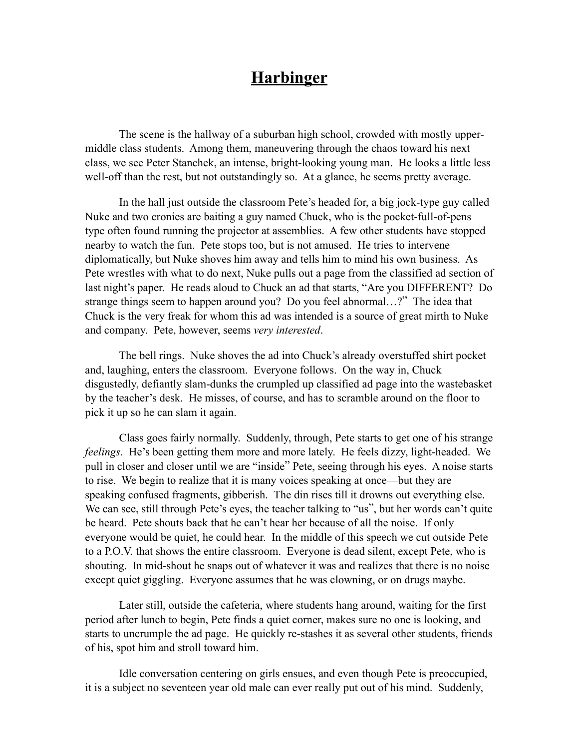The scene is the hallway of a suburban high school, crowded with mostly uppermiddle class students. Among them, maneuvering through the chaos toward his next class, we see Peter Stanchek, an intense, bright-looking young man. He looks a little less well-off than the rest, but not outstandingly so. At a glance, he seems pretty average.

 In the hall just outside the classroom Pete's headed for, a big jock-type guy called Nuke and two cronies are baiting a guy named Chuck, who is the pocket-full-of-pens type often found running the projector at assemblies. A few other students have stopped nearby to watch the fun. Pete stops too, but is not amused. He tries to intervene diplomatically, but Nuke shoves him away and tells him to mind his own business. As Pete wrestles with what to do next, Nuke pulls out a page from the classified ad section of last night's paper. He reads aloud to Chuck an ad that starts, "Are you DIFFERENT? Do strange things seem to happen around you? Do you feel abnormal…?" The idea that Chuck is the very freak for whom this ad was intended is a source of great mirth to Nuke and company. Pete, however, seems *very interested*.

 The bell rings. Nuke shoves the ad into Chuck's already overstuffed shirt pocket and, laughing, enters the classroom. Everyone follows. On the way in, Chuck disgustedly, defiantly slam-dunks the crumpled up classified ad page into the wastebasket by the teacher's desk. He misses, of course, and has to scramble around on the floor to pick it up so he can slam it again.

 Class goes fairly normally. Suddenly, through, Pete starts to get one of his strange *feelings*. He's been getting them more and more lately. He feels dizzy, light-headed. We pull in closer and closer until we are "inside" Pete, seeing through his eyes. A noise starts to rise. We begin to realize that it is many voices speaking at once—but they are speaking confused fragments, gibberish. The din rises till it drowns out everything else. We can see, still through Pete's eyes, the teacher talking to "us", but her words can't quite be heard. Pete shouts back that he can't hear her because of all the noise. If only everyone would be quiet, he could hear. In the middle of this speech we cut outside Pete to a P.O.V. that shows the entire classroom. Everyone is dead silent, except Pete, who is shouting. In mid-shout he snaps out of whatever it was and realizes that there is no noise except quiet giggling. Everyone assumes that he was clowning, or on drugs maybe.

 Later still, outside the cafeteria, where students hang around, waiting for the first period after lunch to begin, Pete finds a quiet corner, makes sure no one is looking, and starts to uncrumple the ad page. He quickly re-stashes it as several other students, friends of his, spot him and stroll toward him.

 Idle conversation centering on girls ensues, and even though Pete is preoccupied, it is a subject no seventeen year old male can ever really put out of his mind. Suddenly,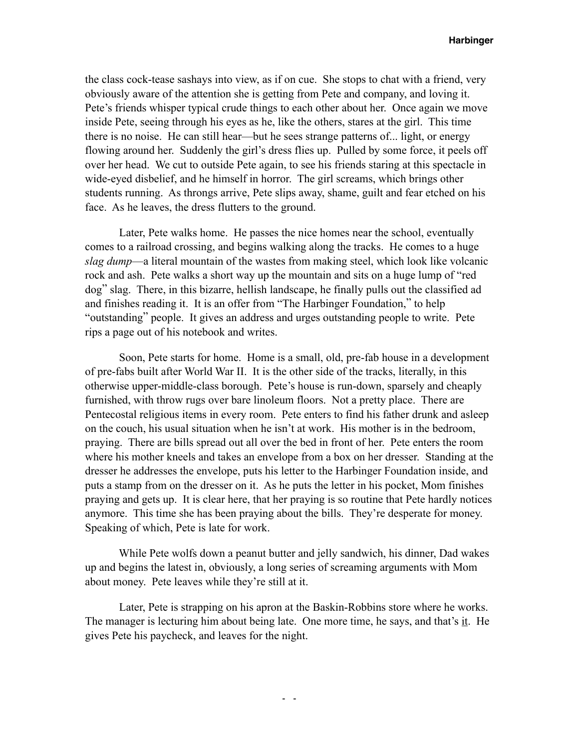the class cock-tease sashays into view, as if on cue. She stops to chat with a friend, very obviously aware of the attention she is getting from Pete and company, and loving it. Pete's friends whisper typical crude things to each other about her. Once again we move inside Pete, seeing through his eyes as he, like the others, stares at the girl. This time there is no noise. He can still hear—but he sees strange patterns of... light, or energy flowing around her. Suddenly the girl's dress flies up. Pulled by some force, it peels off over her head. We cut to outside Pete again, to see his friends staring at this spectacle in wide-eyed disbelief, and he himself in horror. The girl screams, which brings other students running. As throngs arrive, Pete slips away, shame, guilt and fear etched on his face. As he leaves, the dress flutters to the ground.

 Later, Pete walks home. He passes the nice homes near the school, eventually comes to a railroad crossing, and begins walking along the tracks. He comes to a huge *slag dump*—a literal mountain of the wastes from making steel, which look like volcanic rock and ash. Pete walks a short way up the mountain and sits on a huge lump of "red dog" slag. There, in this bizarre, hellish landscape, he finally pulls out the classified ad and finishes reading it. It is an offer from "The Harbinger Foundation," to help "outstanding" people. It gives an address and urges outstanding people to write. Pete rips a page out of his notebook and writes.

 Soon, Pete starts for home. Home is a small, old, pre-fab house in a development of pre-fabs built after World War II. It is the other side of the tracks, literally, in this otherwise upper-middle-class borough. Pete's house is run-down, sparsely and cheaply furnished, with throw rugs over bare linoleum floors. Not a pretty place. There are Pentecostal religious items in every room. Pete enters to find his father drunk and asleep on the couch, his usual situation when he isn't at work. His mother is in the bedroom, praying. There are bills spread out all over the bed in front of her. Pete enters the room where his mother kneels and takes an envelope from a box on her dresser. Standing at the dresser he addresses the envelope, puts his letter to the Harbinger Foundation inside, and puts a stamp from on the dresser on it. As he puts the letter in his pocket, Mom finishes praying and gets up. It is clear here, that her praying is so routine that Pete hardly notices anymore. This time she has been praying about the bills. They're desperate for money. Speaking of which, Pete is late for work.

 While Pete wolfs down a peanut butter and jelly sandwich, his dinner, Dad wakes up and begins the latest in, obviously, a long series of screaming arguments with Mom about money. Pete leaves while they're still at it.

 Later, Pete is strapping on his apron at the Baskin-Robbins store where he works. The manager is lecturing him about being late. One more time, he says, and that's it. He gives Pete his paycheck, and leaves for the night.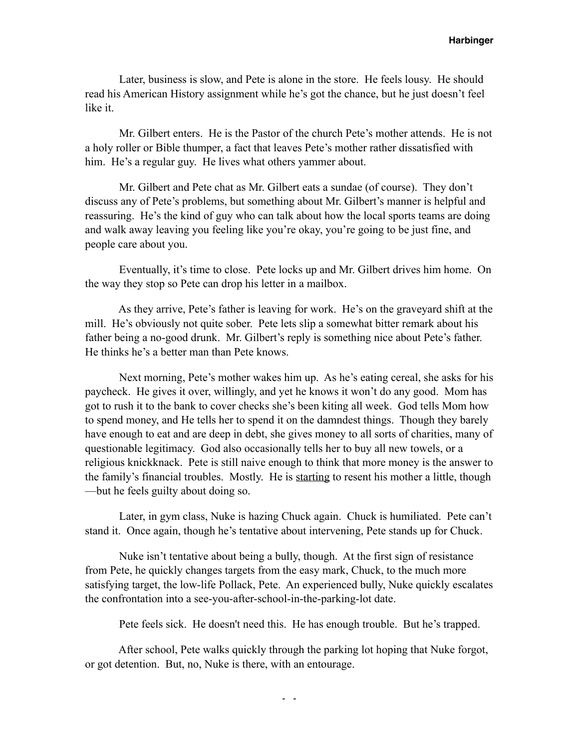Later, business is slow, and Pete is alone in the store. He feels lousy. He should read his American History assignment while he's got the chance, but he just doesn't feel like it.

 Mr. Gilbert enters. He is the Pastor of the church Pete's mother attends. He is not a holy roller or Bible thumper, a fact that leaves Pete's mother rather dissatisfied with him. He's a regular guy. He lives what others yammer about.

 Mr. Gilbert and Pete chat as Mr. Gilbert eats a sundae (of course). They don't discuss any of Pete's problems, but something about Mr. Gilbert's manner is helpful and reassuring. He's the kind of guy who can talk about how the local sports teams are doing and walk away leaving you feeling like you're okay, you're going to be just fine, and people care about you.

 Eventually, it's time to close. Pete locks up and Mr. Gilbert drives him home. On the way they stop so Pete can drop his letter in a mailbox.

 As they arrive, Pete's father is leaving for work. He's on the graveyard shift at the mill. He's obviously not quite sober. Pete lets slip a somewhat bitter remark about his father being a no-good drunk. Mr. Gilbert's reply is something nice about Pete's father. He thinks he's a better man than Pete knows.

 Next morning, Pete's mother wakes him up. As he's eating cereal, she asks for his paycheck. He gives it over, willingly, and yet he knows it won't do any good. Mom has got to rush it to the bank to cover checks she's been kiting all week. God tells Mom how to spend money, and He tells her to spend it on the damndest things. Though they barely have enough to eat and are deep in debt, she gives money to all sorts of charities, many of questionable legitimacy. God also occasionally tells her to buy all new towels, or a religious knickknack. Pete is still naive enough to think that more money is the answer to the family's financial troubles. Mostly. He is starting to resent his mother a little, though —but he feels guilty about doing so.

 Later, in gym class, Nuke is hazing Chuck again. Chuck is humiliated. Pete can't stand it. Once again, though he's tentative about intervening, Pete stands up for Chuck.

 Nuke isn't tentative about being a bully, though. At the first sign of resistance from Pete, he quickly changes targets from the easy mark, Chuck, to the much more satisfying target, the low-life Pollack, Pete. An experienced bully, Nuke quickly escalates the confrontation into a see-you-after-school-in-the-parking-lot date.

Pete feels sick. He doesn't need this. He has enough trouble. But he's trapped.

 After school, Pete walks quickly through the parking lot hoping that Nuke forgot, or got detention. But, no, Nuke is there, with an entourage.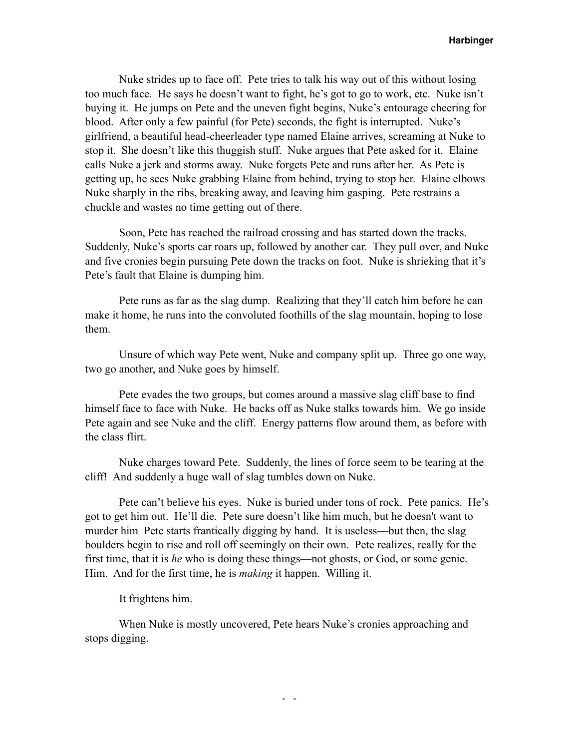Nuke strides up to face off. Pete tries to talk his way out of this without losing too much face. He says he doesn't want to fight, he's got to go to work, etc. Nuke isn't buying it. He jumps on Pete and the uneven fight begins, Nuke's entourage cheering for blood. After only a few painful (for Pete) seconds, the fight is interrupted. Nuke's girlfriend, a beautiful head-cheerleader type named Elaine arrives, screaming at Nuke to stop it. She doesn't like this thuggish stuff. Nuke argues that Pete asked for it. Elaine calls Nuke a jerk and storms away. Nuke forgets Pete and runs after her. As Pete is getting up, he sees Nuke grabbing Elaine from behind, trying to stop her. Elaine elbows Nuke sharply in the ribs, breaking away, and leaving him gasping. Pete restrains a chuckle and wastes no time getting out of there.

 Soon, Pete has reached the railroad crossing and has started down the tracks. Suddenly, Nuke's sports car roars up, followed by another car. They pull over, and Nuke and five cronies begin pursuing Pete down the tracks on foot. Nuke is shrieking that it's Pete's fault that Elaine is dumping him.

 Pete runs as far as the slag dump. Realizing that they'll catch him before he can make it home, he runs into the convoluted foothills of the slag mountain, hoping to lose them.

 Unsure of which way Pete went, Nuke and company split up. Three go one way, two go another, and Nuke goes by himself.

 Pete evades the two groups, but comes around a massive slag cliff base to find himself face to face with Nuke. He backs off as Nuke stalks towards him. We go inside Pete again and see Nuke and the cliff. Energy patterns flow around them, as before with the class flirt.

 Nuke charges toward Pete. Suddenly, the lines of force seem to be tearing at the cliff! And suddenly a huge wall of slag tumbles down on Nuke.

 Pete can't believe his eyes. Nuke is buried under tons of rock. Pete panics. He's got to get him out. He'll die. Pete sure doesn't like him much, but he doesn't want to murder him Pete starts frantically digging by hand. It is useless—but then, the slag boulders begin to rise and roll off seemingly on their own. Pete realizes, really for the first time, that it is *he* who is doing these things—not ghosts, or God, or some genie. Him. And for the first time, he is *making* it happen. Willing it.

It frightens him.

 When Nuke is mostly uncovered, Pete hears Nuke's cronies approaching and stops digging.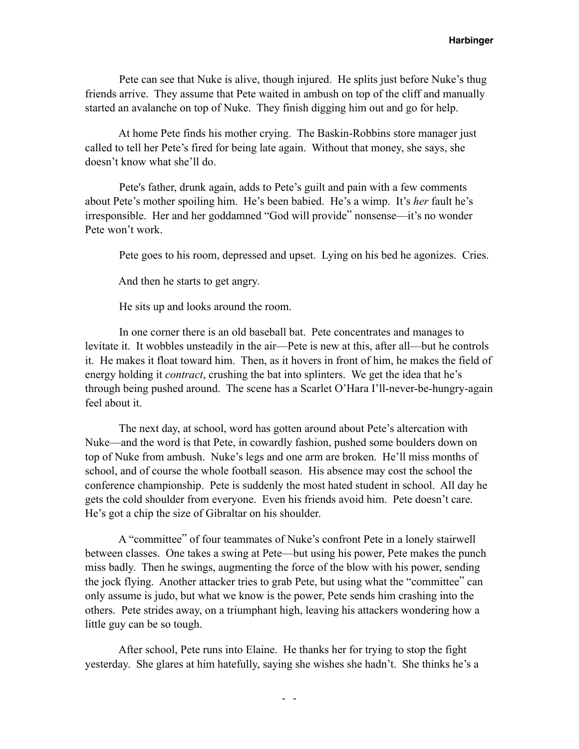Pete can see that Nuke is alive, though injured. He splits just before Nuke's thug friends arrive. They assume that Pete waited in ambush on top of the cliff and manually started an avalanche on top of Nuke. They finish digging him out and go for help.

 At home Pete finds his mother crying. The Baskin-Robbins store manager just called to tell her Pete's fired for being late again. Without that money, she says, she doesn't know what she'll do.

 Pete's father, drunk again, adds to Pete's guilt and pain with a few comments about Pete's mother spoiling him. He's been babied. He's a wimp. It's *her* fault he's irresponsible. Her and her goddamned "God will provide" nonsense—it's no wonder Pete won't work.

Pete goes to his room, depressed and upset. Lying on his bed he agonizes. Cries.

And then he starts to get angry.

He sits up and looks around the room.

 In one corner there is an old baseball bat. Pete concentrates and manages to levitate it. It wobbles unsteadily in the air—Pete is new at this, after all—but he controls it. He makes it float toward him. Then, as it hovers in front of him, he makes the field of energy holding it *contract*, crushing the bat into splinters. We get the idea that he's through being pushed around. The scene has a Scarlet O'Hara I'll-never-be-hungry-again feel about it.

 The next day, at school, word has gotten around about Pete's altercation with Nuke—and the word is that Pete, in cowardly fashion, pushed some boulders down on top of Nuke from ambush. Nuke's legs and one arm are broken. He'll miss months of school, and of course the whole football season. His absence may cost the school the conference championship. Pete is suddenly the most hated student in school. All day he gets the cold shoulder from everyone. Even his friends avoid him. Pete doesn't care. He's got a chip the size of Gibraltar on his shoulder.

 A "committee" of four teammates of Nuke's confront Pete in a lonely stairwell between classes. One takes a swing at Pete—but using his power, Pete makes the punch miss badly. Then he swings, augmenting the force of the blow with his power, sending the jock flying. Another attacker tries to grab Pete, but using what the "committee" can only assume is judo, but what we know is the power, Pete sends him crashing into the others. Pete strides away, on a triumphant high, leaving his attackers wondering how a little guy can be so tough.

 After school, Pete runs into Elaine. He thanks her for trying to stop the fight yesterday. She glares at him hatefully, saying she wishes she hadn't. She thinks he's a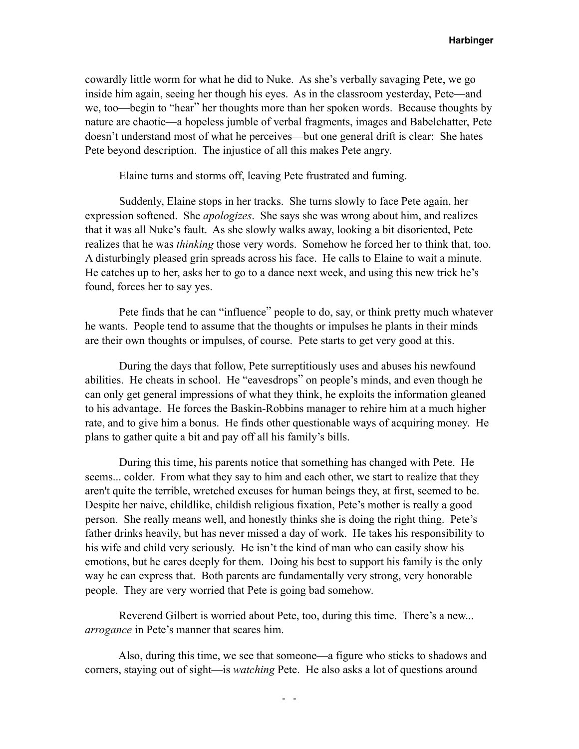cowardly little worm for what he did to Nuke. As she's verbally savaging Pete, we go inside him again, seeing her though his eyes. As in the classroom yesterday, Pete—and we, too—begin to "hear" her thoughts more than her spoken words. Because thoughts by nature are chaotic—a hopeless jumble of verbal fragments, images and Babelchatter, Pete doesn't understand most of what he perceives—but one general drift is clear: She hates Pete beyond description. The injustice of all this makes Pete angry.

Elaine turns and storms off, leaving Pete frustrated and fuming.

 Suddenly, Elaine stops in her tracks. She turns slowly to face Pete again, her expression softened. She *apologizes*. She says she was wrong about him, and realizes that it was all Nuke's fault. As she slowly walks away, looking a bit disoriented, Pete realizes that he was *thinking* those very words. Somehow he forced her to think that, too. A disturbingly pleased grin spreads across his face. He calls to Elaine to wait a minute. He catches up to her, asks her to go to a dance next week, and using this new trick he's found, forces her to say yes.

 Pete finds that he can "influence" people to do, say, or think pretty much whatever he wants. People tend to assume that the thoughts or impulses he plants in their minds are their own thoughts or impulses, of course. Pete starts to get very good at this.

 During the days that follow, Pete surreptitiously uses and abuses his newfound abilities. He cheats in school. He "eavesdrops" on people's minds, and even though he can only get general impressions of what they think, he exploits the information gleaned to his advantage. He forces the Baskin-Robbins manager to rehire him at a much higher rate, and to give him a bonus. He finds other questionable ways of acquiring money. He plans to gather quite a bit and pay off all his family's bills.

 During this time, his parents notice that something has changed with Pete. He seems... colder. From what they say to him and each other, we start to realize that they aren't quite the terrible, wretched excuses for human beings they, at first, seemed to be. Despite her naive, childlike, childish religious fixation, Pete's mother is really a good person. She really means well, and honestly thinks she is doing the right thing. Pete's father drinks heavily, but has never missed a day of work. He takes his responsibility to his wife and child very seriously. He isn't the kind of man who can easily show his emotions, but he cares deeply for them. Doing his best to support his family is the only way he can express that. Both parents are fundamentally very strong, very honorable people. They are very worried that Pete is going bad somehow.

 Reverend Gilbert is worried about Pete, too, during this time. There's a new... *arrogance* in Pete's manner that scares him.

 Also, during this time, we see that someone—a figure who sticks to shadows and corners, staying out of sight—is *watching* Pete. He also asks a lot of questions around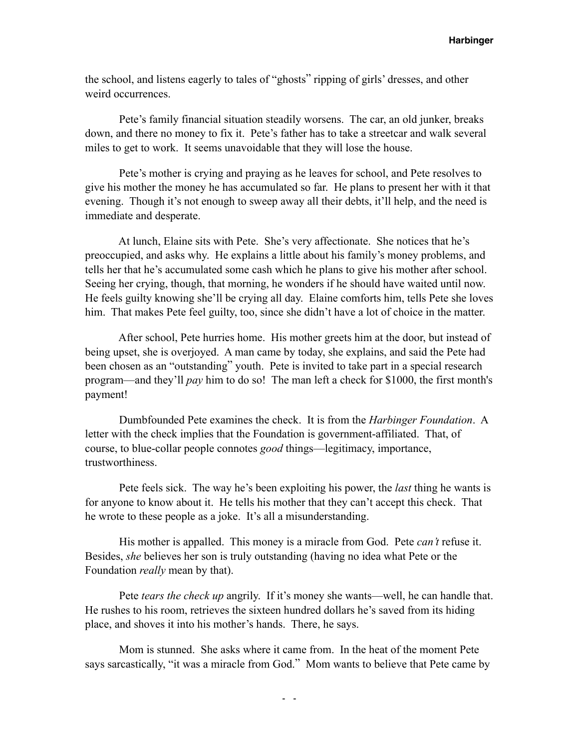the school, and listens eagerly to tales of "ghosts" ripping of girls' dresses, and other weird occurrences.

 Pete's family financial situation steadily worsens. The car, an old junker, breaks down, and there no money to fix it. Pete's father has to take a streetcar and walk several miles to get to work. It seems unavoidable that they will lose the house.

 Pete's mother is crying and praying as he leaves for school, and Pete resolves to give his mother the money he has accumulated so far. He plans to present her with it that evening. Though it's not enough to sweep away all their debts, it'll help, and the need is immediate and desperate.

 At lunch, Elaine sits with Pete. She's very affectionate. She notices that he's preoccupied, and asks why. He explains a little about his family's money problems, and tells her that he's accumulated some cash which he plans to give his mother after school. Seeing her crying, though, that morning, he wonders if he should have waited until now. He feels guilty knowing she'll be crying all day. Elaine comforts him, tells Pete she loves him. That makes Pete feel guilty, too, since she didn't have a lot of choice in the matter.

 After school, Pete hurries home. His mother greets him at the door, but instead of being upset, she is overjoyed. A man came by today, she explains, and said the Pete had been chosen as an "outstanding" youth. Pete is invited to take part in a special research program—and they'll *pay* him to do so! The man left a check for \$1000, the first month's payment!

 Dumbfounded Pete examines the check. It is from the *Harbinger Foundation*. A letter with the check implies that the Foundation is government-affiliated. That, of course, to blue-collar people connotes *good* things—legitimacy, importance, trustworthiness.

 Pete feels sick. The way he's been exploiting his power, the *last* thing he wants is for anyone to know about it. He tells his mother that they can't accept this check. That he wrote to these people as a joke. It's all a misunderstanding.

 His mother is appalled. This money is a miracle from God. Pete *can't* refuse it. Besides, *she* believes her son is truly outstanding (having no idea what Pete or the Foundation *really* mean by that).

 Pete *tears the check up* angrily. If it's money she wants—well, he can handle that. He rushes to his room, retrieves the sixteen hundred dollars he's saved from its hiding place, and shoves it into his mother's hands. There, he says.

 Mom is stunned. She asks where it came from. In the heat of the moment Pete says sarcastically, "it was a miracle from God." Mom wants to believe that Pete came by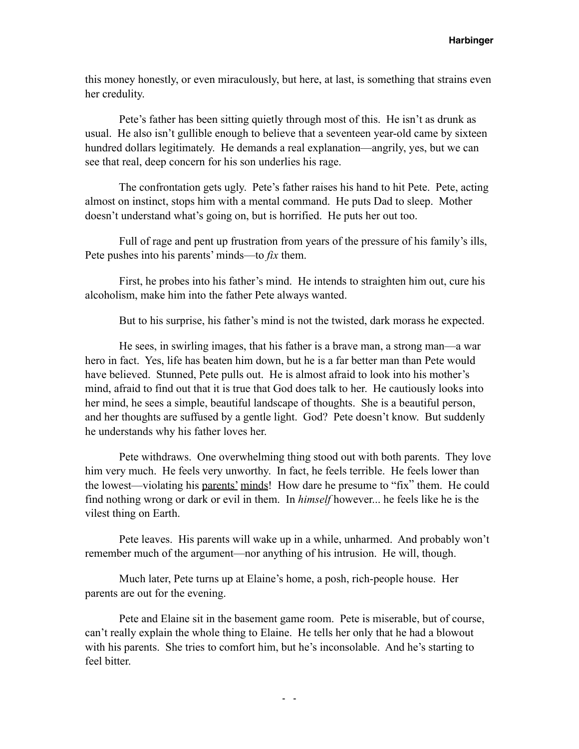this money honestly, or even miraculously, but here, at last, is something that strains even her credulity.

 Pete's father has been sitting quietly through most of this. He isn't as drunk as usual. He also isn't gullible enough to believe that a seventeen year-old came by sixteen hundred dollars legitimately. He demands a real explanation—angrily, yes, but we can see that real, deep concern for his son underlies his rage.

 The confrontation gets ugly. Pete's father raises his hand to hit Pete. Pete, acting almost on instinct, stops him with a mental command. He puts Dad to sleep. Mother doesn't understand what's going on, but is horrified. He puts her out too.

 Full of rage and pent up frustration from years of the pressure of his family's ills, Pete pushes into his parents' minds—to *fix* them.

 First, he probes into his father's mind. He intends to straighten him out, cure his alcoholism, make him into the father Pete always wanted.

But to his surprise, his father's mind is not the twisted, dark morass he expected.

 He sees, in swirling images, that his father is a brave man, a strong man—a war hero in fact. Yes, life has beaten him down, but he is a far better man than Pete would have believed. Stunned, Pete pulls out. He is almost afraid to look into his mother's mind, afraid to find out that it is true that God does talk to her. He cautiously looks into her mind, he sees a simple, beautiful landscape of thoughts. She is a beautiful person, and her thoughts are suffused by a gentle light. God? Pete doesn't know. But suddenly he understands why his father loves her.

 Pete withdraws. One overwhelming thing stood out with both parents. They love him very much. He feels very unworthy. In fact, he feels terrible. He feels lower than the lowest—violating his parents' minds! How dare he presume to "fix" them. He could find nothing wrong or dark or evil in them. In *himself* however... he feels like he is the vilest thing on Earth.

 Pete leaves. His parents will wake up in a while, unharmed. And probably won't remember much of the argument—nor anything of his intrusion. He will, though.

 Much later, Pete turns up at Elaine's home, a posh, rich-people house. Her parents are out for the evening.

 Pete and Elaine sit in the basement game room. Pete is miserable, but of course, can't really explain the whole thing to Elaine. He tells her only that he had a blowout with his parents. She tries to comfort him, but he's inconsolable. And he's starting to feel bitter.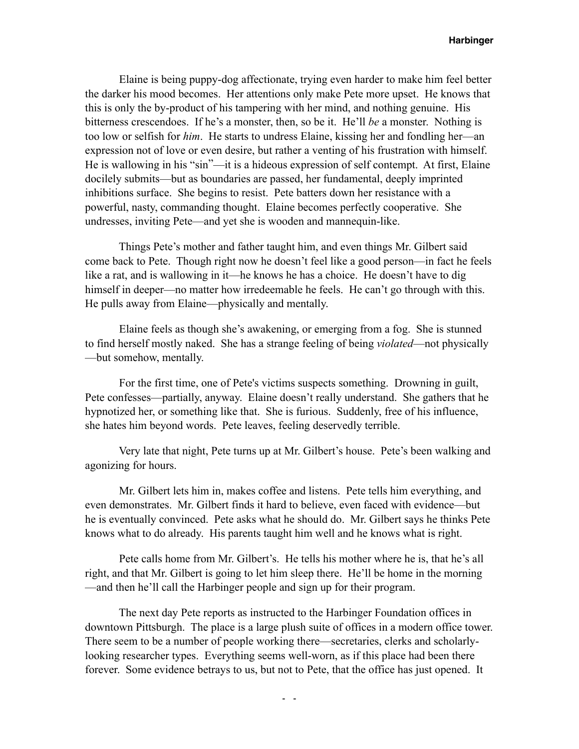Elaine is being puppy-dog affectionate, trying even harder to make him feel better the darker his mood becomes. Her attentions only make Pete more upset. He knows that this is only the by-product of his tampering with her mind, and nothing genuine. His bitterness crescendoes. If he's a monster, then, so be it. He'll *be* a monster. Nothing is too low or selfish for *him*. He starts to undress Elaine, kissing her and fondling her—an expression not of love or even desire, but rather a venting of his frustration with himself. He is wallowing in his "sin"—it is a hideous expression of self contempt. At first, Elaine docilely submits—but as boundaries are passed, her fundamental, deeply imprinted inhibitions surface. She begins to resist. Pete batters down her resistance with a powerful, nasty, commanding thought. Elaine becomes perfectly cooperative. She undresses, inviting Pete—and yet she is wooden and mannequin-like.

 Things Pete's mother and father taught him, and even things Mr. Gilbert said come back to Pete. Though right now he doesn't feel like a good person—in fact he feels like a rat, and is wallowing in it—he knows he has a choice. He doesn't have to dig himself in deeper—no matter how irredeemable he feels. He can't go through with this. He pulls away from Elaine—physically and mentally.

 Elaine feels as though she's awakening, or emerging from a fog. She is stunned to find herself mostly naked. She has a strange feeling of being *violated*—not physically —but somehow, mentally.

 For the first time, one of Pete's victims suspects something. Drowning in guilt, Pete confesses—partially, anyway. Elaine doesn't really understand. She gathers that he hypnotized her, or something like that. She is furious. Suddenly, free of his influence, she hates him beyond words. Pete leaves, feeling deservedly terrible.

 Very late that night, Pete turns up at Mr. Gilbert's house. Pete's been walking and agonizing for hours.

 Mr. Gilbert lets him in, makes coffee and listens. Pete tells him everything, and even demonstrates. Mr. Gilbert finds it hard to believe, even faced with evidence—but he is eventually convinced. Pete asks what he should do. Mr. Gilbert says he thinks Pete knows what to do already. His parents taught him well and he knows what is right.

 Pete calls home from Mr. Gilbert's. He tells his mother where he is, that he's all right, and that Mr. Gilbert is going to let him sleep there. He'll be home in the morning —and then he'll call the Harbinger people and sign up for their program.

 The next day Pete reports as instructed to the Harbinger Foundation offices in downtown Pittsburgh. The place is a large plush suite of offices in a modern office tower. There seem to be a number of people working there—secretaries, clerks and scholarlylooking researcher types. Everything seems well-worn, as if this place had been there forever. Some evidence betrays to us, but not to Pete, that the office has just opened. It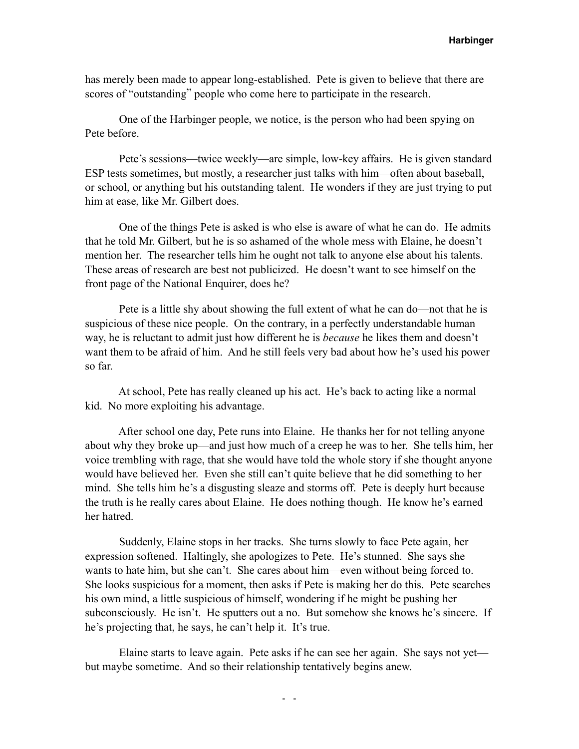has merely been made to appear long-established. Pete is given to believe that there are scores of "outstanding" people who come here to participate in the research.

 One of the Harbinger people, we notice, is the person who had been spying on Pete before.

 Pete's sessions—twice weekly—are simple, low-key affairs. He is given standard ESP tests sometimes, but mostly, a researcher just talks with him—often about baseball, or school, or anything but his outstanding talent. He wonders if they are just trying to put him at ease, like Mr. Gilbert does.

 One of the things Pete is asked is who else is aware of what he can do. He admits that he told Mr. Gilbert, but he is so ashamed of the whole mess with Elaine, he doesn't mention her. The researcher tells him he ought not talk to anyone else about his talents. These areas of research are best not publicized. He doesn't want to see himself on the front page of the National Enquirer, does he?

 Pete is a little shy about showing the full extent of what he can do—not that he is suspicious of these nice people. On the contrary, in a perfectly understandable human way, he is reluctant to admit just how different he is *because* he likes them and doesn't want them to be afraid of him. And he still feels very bad about how he's used his power so far.

 At school, Pete has really cleaned up his act. He's back to acting like a normal kid. No more exploiting his advantage.

 After school one day, Pete runs into Elaine. He thanks her for not telling anyone about why they broke up—and just how much of a creep he was to her. She tells him, her voice trembling with rage, that she would have told the whole story if she thought anyone would have believed her. Even she still can't quite believe that he did something to her mind. She tells him he's a disgusting sleaze and storms off. Pete is deeply hurt because the truth is he really cares about Elaine. He does nothing though. He know he's earned her hatred.

 Suddenly, Elaine stops in her tracks. She turns slowly to face Pete again, her expression softened. Haltingly, she apologizes to Pete. He's stunned. She says she wants to hate him, but she can't. She cares about him—even without being forced to. She looks suspicious for a moment, then asks if Pete is making her do this. Pete searches his own mind, a little suspicious of himself, wondering if he might be pushing her subconsciously. He isn't. He sputters out a no. But somehow she knows he's sincere. If he's projecting that, he says, he can't help it. It's true.

 Elaine starts to leave again. Pete asks if he can see her again. She says not yet but maybe sometime. And so their relationship tentatively begins anew.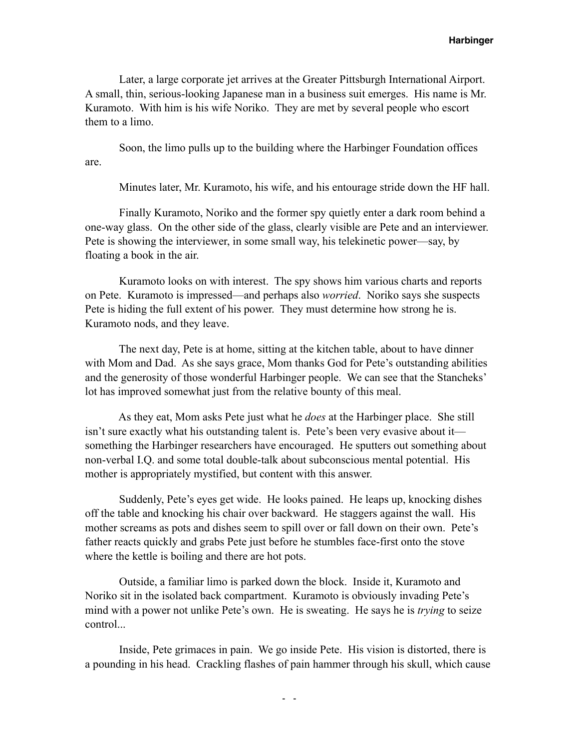Later, a large corporate jet arrives at the Greater Pittsburgh International Airport. A small, thin, serious-looking Japanese man in a business suit emerges. His name is Mr. Kuramoto. With him is his wife Noriko. They are met by several people who escort them to a limo.

 Soon, the limo pulls up to the building where the Harbinger Foundation offices are.

Minutes later, Mr. Kuramoto, his wife, and his entourage stride down the HF hall.

 Finally Kuramoto, Noriko and the former spy quietly enter a dark room behind a one-way glass. On the other side of the glass, clearly visible are Pete and an interviewer. Pete is showing the interviewer, in some small way, his telekinetic power—say, by floating a book in the air.

 Kuramoto looks on with interest. The spy shows him various charts and reports on Pete. Kuramoto is impressed—and perhaps also *worried*. Noriko says she suspects Pete is hiding the full extent of his power. They must determine how strong he is. Kuramoto nods, and they leave.

 The next day, Pete is at home, sitting at the kitchen table, about to have dinner with Mom and Dad. As she says grace, Mom thanks God for Pete's outstanding abilities and the generosity of those wonderful Harbinger people. We can see that the Stancheks' lot has improved somewhat just from the relative bounty of this meal.

 As they eat, Mom asks Pete just what he *does* at the Harbinger place. She still isn't sure exactly what his outstanding talent is. Pete's been very evasive about it something the Harbinger researchers have encouraged. He sputters out something about non-verbal I.Q. and some total double-talk about subconscious mental potential. His mother is appropriately mystified, but content with this answer.

 Suddenly, Pete's eyes get wide. He looks pained. He leaps up, knocking dishes off the table and knocking his chair over backward. He staggers against the wall. His mother screams as pots and dishes seem to spill over or fall down on their own. Pete's father reacts quickly and grabs Pete just before he stumbles face-first onto the stove where the kettle is boiling and there are hot pots.

 Outside, a familiar limo is parked down the block. Inside it, Kuramoto and Noriko sit in the isolated back compartment. Kuramoto is obviously invading Pete's mind with a power not unlike Pete's own. He is sweating. He says he is *trying* to seize control...

 Inside, Pete grimaces in pain. We go inside Pete. His vision is distorted, there is a pounding in his head. Crackling flashes of pain hammer through his skull, which cause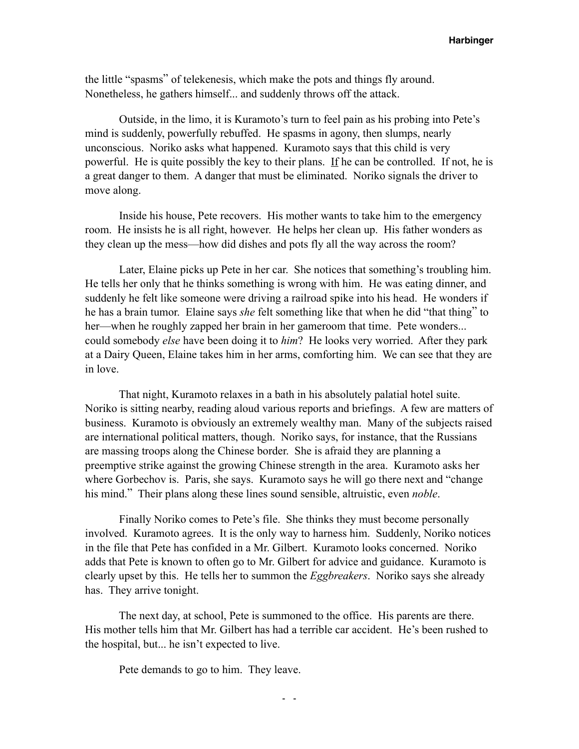the little "spasms" of telekenesis, which make the pots and things fly around. Nonetheless, he gathers himself... and suddenly throws off the attack.

 Outside, in the limo, it is Kuramoto's turn to feel pain as his probing into Pete's mind is suddenly, powerfully rebuffed. He spasms in agony, then slumps, nearly unconscious. Noriko asks what happened. Kuramoto says that this child is very powerful. He is quite possibly the key to their plans. If he can be controlled. If not, he is a great danger to them. A danger that must be eliminated. Noriko signals the driver to move along.

 Inside his house, Pete recovers. His mother wants to take him to the emergency room. He insists he is all right, however. He helps her clean up. His father wonders as they clean up the mess—how did dishes and pots fly all the way across the room?

 Later, Elaine picks up Pete in her car. She notices that something's troubling him. He tells her only that he thinks something is wrong with him. He was eating dinner, and suddenly he felt like someone were driving a railroad spike into his head. He wonders if he has a brain tumor. Elaine says *she* felt something like that when he did "that thing" to her—when he roughly zapped her brain in her gameroom that time. Pete wonders... could somebody *else* have been doing it to *him*? He looks very worried. After they park at a Dairy Queen, Elaine takes him in her arms, comforting him. We can see that they are in love.

 That night, Kuramoto relaxes in a bath in his absolutely palatial hotel suite. Noriko is sitting nearby, reading aloud various reports and briefings. A few are matters of business. Kuramoto is obviously an extremely wealthy man. Many of the subjects raised are international political matters, though. Noriko says, for instance, that the Russians are massing troops along the Chinese border. She is afraid they are planning a preemptive strike against the growing Chinese strength in the area. Kuramoto asks her where Gorbechov is. Paris, she says. Kuramoto says he will go there next and "change his mind." Their plans along these lines sound sensible, altruistic, even *noble*.

 Finally Noriko comes to Pete's file. She thinks they must become personally involved. Kuramoto agrees. It is the only way to harness him. Suddenly, Noriko notices in the file that Pete has confided in a Mr. Gilbert. Kuramoto looks concerned. Noriko adds that Pete is known to often go to Mr. Gilbert for advice and guidance. Kuramoto is clearly upset by this. He tells her to summon the *Eggbreakers*. Noriko says she already has. They arrive tonight.

 The next day, at school, Pete is summoned to the office. His parents are there. His mother tells him that Mr. Gilbert has had a terrible car accident. He's been rushed to the hospital, but... he isn't expected to live.

Pete demands to go to him. They leave.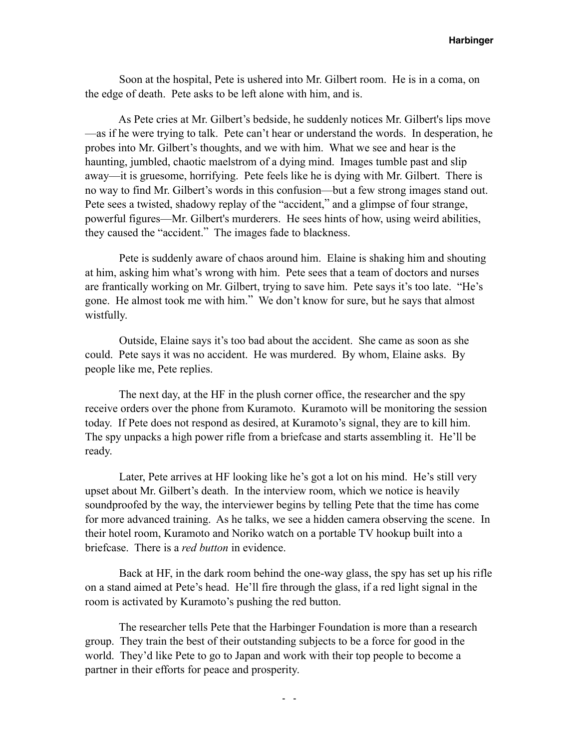Soon at the hospital, Pete is ushered into Mr. Gilbert room. He is in a coma, on the edge of death. Pete asks to be left alone with him, and is.

 As Pete cries at Mr. Gilbert's bedside, he suddenly notices Mr. Gilbert's lips move —as if he were trying to talk. Pete can't hear or understand the words. In desperation, he probes into Mr. Gilbert's thoughts, and we with him. What we see and hear is the haunting, jumbled, chaotic maelstrom of a dying mind. Images tumble past and slip away—it is gruesome, horrifying. Pete feels like he is dying with Mr. Gilbert. There is no way to find Mr. Gilbert's words in this confusion—but a few strong images stand out. Pete sees a twisted, shadowy replay of the "accident," and a glimpse of four strange, powerful figures—Mr. Gilbert's murderers. He sees hints of how, using weird abilities, they caused the "accident." The images fade to blackness.

 Pete is suddenly aware of chaos around him. Elaine is shaking him and shouting at him, asking him what's wrong with him. Pete sees that a team of doctors and nurses are frantically working on Mr. Gilbert, trying to save him. Pete says it's too late. "He's gone. He almost took me with him." We don't know for sure, but he says that almost wistfully.

 Outside, Elaine says it's too bad about the accident. She came as soon as she could. Pete says it was no accident. He was murdered. By whom, Elaine asks. By people like me, Pete replies.

 The next day, at the HF in the plush corner office, the researcher and the spy receive orders over the phone from Kuramoto. Kuramoto will be monitoring the session today. If Pete does not respond as desired, at Kuramoto's signal, they are to kill him. The spy unpacks a high power rifle from a briefcase and starts assembling it. He'll be ready.

 Later, Pete arrives at HF looking like he's got a lot on his mind. He's still very upset about Mr. Gilbert's death. In the interview room, which we notice is heavily soundproofed by the way, the interviewer begins by telling Pete that the time has come for more advanced training. As he talks, we see a hidden camera observing the scene. In their hotel room, Kuramoto and Noriko watch on a portable TV hookup built into a briefcase. There is a *red button* in evidence.

 Back at HF, in the dark room behind the one-way glass, the spy has set up his rifle on a stand aimed at Pete's head. He'll fire through the glass, if a red light signal in the room is activated by Kuramoto's pushing the red button.

 The researcher tells Pete that the Harbinger Foundation is more than a research group. They train the best of their outstanding subjects to be a force for good in the world. They'd like Pete to go to Japan and work with their top people to become a partner in their efforts for peace and prosperity.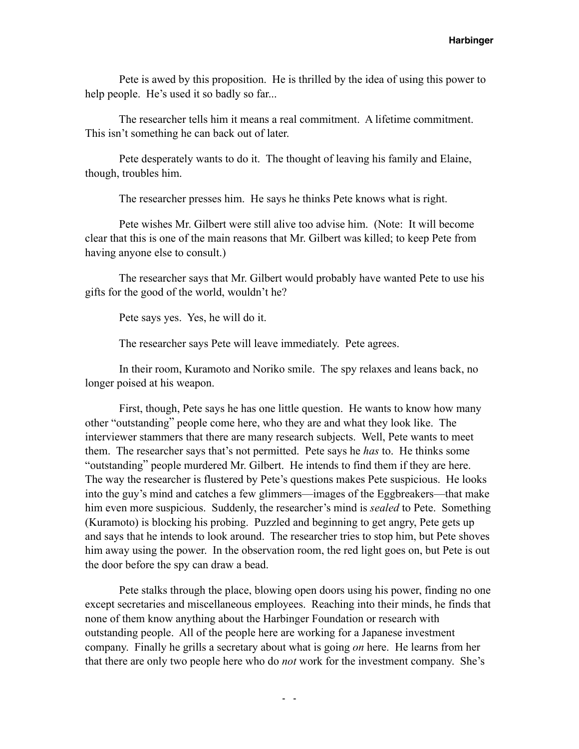Pete is awed by this proposition. He is thrilled by the idea of using this power to help people. He's used it so badly so far...

 The researcher tells him it means a real commitment. A lifetime commitment. This isn't something he can back out of later.

 Pete desperately wants to do it. The thought of leaving his family and Elaine, though, troubles him.

The researcher presses him. He says he thinks Pete knows what is right.

 Pete wishes Mr. Gilbert were still alive too advise him. (Note: It will become clear that this is one of the main reasons that Mr. Gilbert was killed; to keep Pete from having anyone else to consult.)

 The researcher says that Mr. Gilbert would probably have wanted Pete to use his gifts for the good of the world, wouldn't he?

Pete says yes. Yes, he will do it.

The researcher says Pete will leave immediately. Pete agrees.

 In their room, Kuramoto and Noriko smile. The spy relaxes and leans back, no longer poised at his weapon.

 First, though, Pete says he has one little question. He wants to know how many other "outstanding" people come here, who they are and what they look like. The interviewer stammers that there are many research subjects. Well, Pete wants to meet them. The researcher says that's not permitted. Pete says he *has* to. He thinks some "outstanding" people murdered Mr. Gilbert. He intends to find them if they are here. The way the researcher is flustered by Pete's questions makes Pete suspicious. He looks into the guy's mind and catches a few glimmers—images of the Eggbreakers—that make him even more suspicious. Suddenly, the researcher's mind is *sealed* to Pete. Something (Kuramoto) is blocking his probing. Puzzled and beginning to get angry, Pete gets up and says that he intends to look around. The researcher tries to stop him, but Pete shoves him away using the power. In the observation room, the red light goes on, but Pete is out the door before the spy can draw a bead.

 Pete stalks through the place, blowing open doors using his power, finding no one except secretaries and miscellaneous employees. Reaching into their minds, he finds that none of them know anything about the Harbinger Foundation or research with outstanding people. All of the people here are working for a Japanese investment company. Finally he grills a secretary about what is going *on* here. He learns from her that there are only two people here who do *not* work for the investment company. She's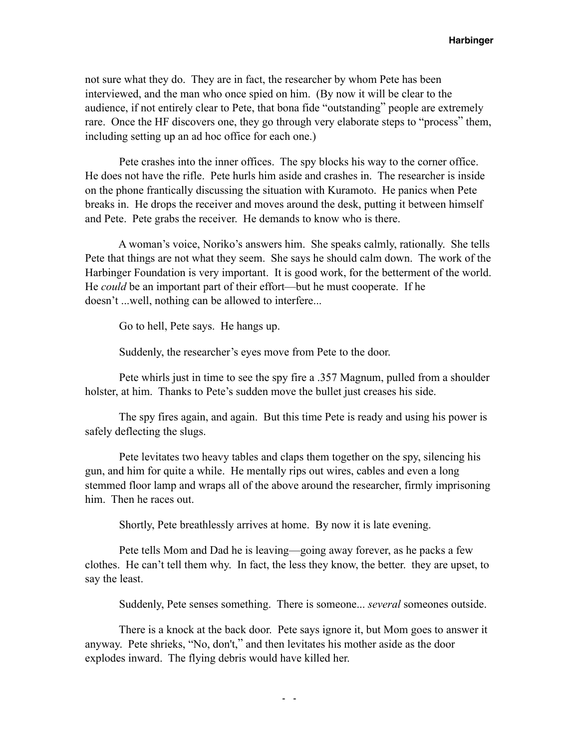not sure what they do. They are in fact, the researcher by whom Pete has been interviewed, and the man who once spied on him. (By now it will be clear to the audience, if not entirely clear to Pete, that bona fide "outstanding" people are extremely rare. Once the HF discovers one, they go through very elaborate steps to "process" them, including setting up an ad hoc office for each one.)

 Pete crashes into the inner offices. The spy blocks his way to the corner office. He does not have the rifle. Pete hurls him aside and crashes in. The researcher is inside on the phone frantically discussing the situation with Kuramoto. He panics when Pete breaks in. He drops the receiver and moves around the desk, putting it between himself and Pete. Pete grabs the receiver. He demands to know who is there.

 A woman's voice, Noriko's answers him. She speaks calmly, rationally. She tells Pete that things are not what they seem. She says he should calm down. The work of the Harbinger Foundation is very important. It is good work, for the betterment of the world. He *could* be an important part of their effort—but he must cooperate. If he doesn't ...well, nothing can be allowed to interfere...

Go to hell, Pete says. He hangs up.

Suddenly, the researcher's eyes move from Pete to the door.

 Pete whirls just in time to see the spy fire a .357 Magnum, pulled from a shoulder holster, at him. Thanks to Pete's sudden move the bullet just creases his side.

 The spy fires again, and again. But this time Pete is ready and using his power is safely deflecting the slugs.

 Pete levitates two heavy tables and claps them together on the spy, silencing his gun, and him for quite a while. He mentally rips out wires, cables and even a long stemmed floor lamp and wraps all of the above around the researcher, firmly imprisoning him. Then he races out.

Shortly, Pete breathlessly arrives at home. By now it is late evening.

 Pete tells Mom and Dad he is leaving—going away forever, as he packs a few clothes. He can't tell them why. In fact, the less they know, the better. they are upset, to say the least.

Suddenly, Pete senses something. There is someone... *several* someones outside.

 There is a knock at the back door. Pete says ignore it, but Mom goes to answer it anyway. Pete shrieks, "No, don't," and then levitates his mother aside as the door explodes inward. The flying debris would have killed her.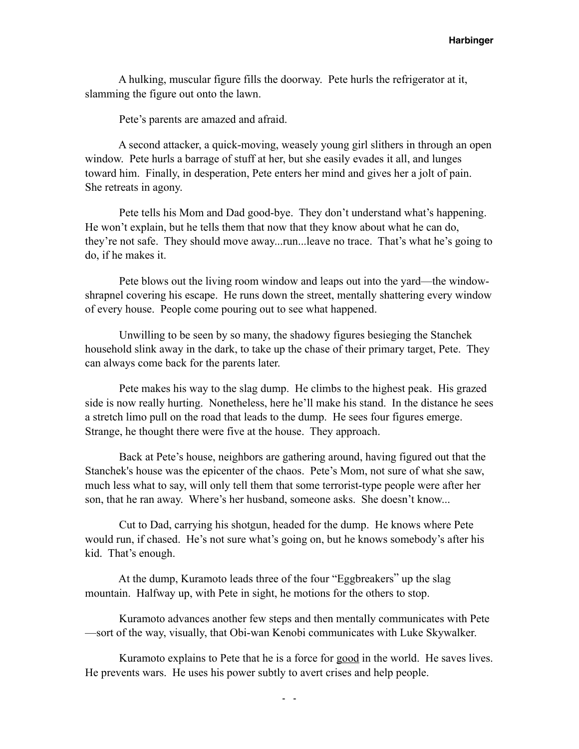A hulking, muscular figure fills the doorway. Pete hurls the refrigerator at it, slamming the figure out onto the lawn.

Pete's parents are amazed and afraid.

 A second attacker, a quick-moving, weasely young girl slithers in through an open window. Pete hurls a barrage of stuff at her, but she easily evades it all, and lunges toward him. Finally, in desperation, Pete enters her mind and gives her a jolt of pain. She retreats in agony.

 Pete tells his Mom and Dad good-bye. They don't understand what's happening. He won't explain, but he tells them that now that they know about what he can do, they're not safe. They should move away...run...leave no trace. That's what he's going to do, if he makes it.

 Pete blows out the living room window and leaps out into the yard—the windowshrapnel covering his escape. He runs down the street, mentally shattering every window of every house. People come pouring out to see what happened.

 Unwilling to be seen by so many, the shadowy figures besieging the Stanchek household slink away in the dark, to take up the chase of their primary target, Pete. They can always come back for the parents later.

 Pete makes his way to the slag dump. He climbs to the highest peak. His grazed side is now really hurting. Nonetheless, here he'll make his stand. In the distance he sees a stretch limo pull on the road that leads to the dump. He sees four figures emerge. Strange, he thought there were five at the house. They approach.

 Back at Pete's house, neighbors are gathering around, having figured out that the Stanchek's house was the epicenter of the chaos. Pete's Mom, not sure of what she saw, much less what to say, will only tell them that some terrorist-type people were after her son, that he ran away. Where's her husband, someone asks. She doesn't know...

 Cut to Dad, carrying his shotgun, headed for the dump. He knows where Pete would run, if chased. He's not sure what's going on, but he knows somebody's after his kid. That's enough.

 At the dump, Kuramoto leads three of the four "Eggbreakers" up the slag mountain. Halfway up, with Pete in sight, he motions for the others to stop.

 Kuramoto advances another few steps and then mentally communicates with Pete —sort of the way, visually, that Obi-wan Kenobi communicates with Luke Skywalker.

 Kuramoto explains to Pete that he is a force for good in the world. He saves lives. He prevents wars. He uses his power subtly to avert crises and help people.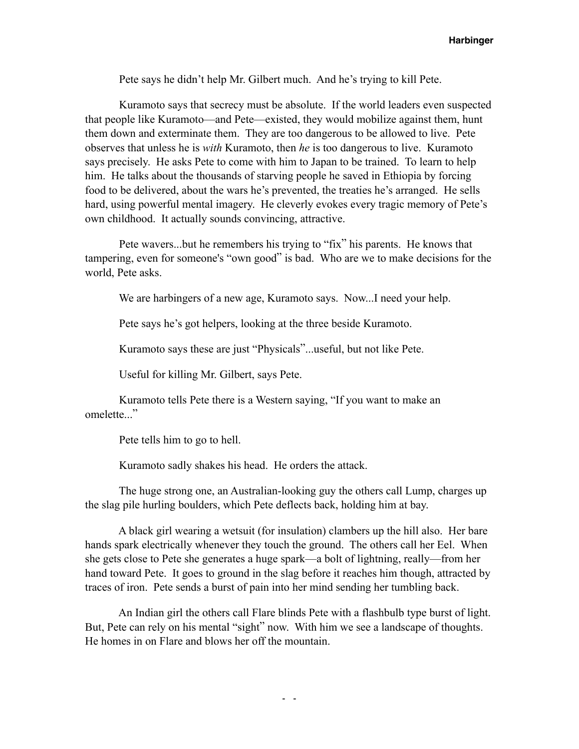Pete says he didn't help Mr. Gilbert much. And he's trying to kill Pete.

 Kuramoto says that secrecy must be absolute. If the world leaders even suspected that people like Kuramoto—and Pete—existed, they would mobilize against them, hunt them down and exterminate them. They are too dangerous to be allowed to live. Pete observes that unless he is *with* Kuramoto, then *he* is too dangerous to live. Kuramoto says precisely. He asks Pete to come with him to Japan to be trained. To learn to help him. He talks about the thousands of starving people he saved in Ethiopia by forcing food to be delivered, about the wars he's prevented, the treaties he's arranged. He sells hard, using powerful mental imagery. He cleverly evokes every tragic memory of Pete's own childhood. It actually sounds convincing, attractive.

 Pete wavers...but he remembers his trying to "fix" his parents. He knows that tampering, even for someone's "own good" is bad. Who are we to make decisions for the world, Pete asks.

We are harbingers of a new age, Kuramoto says. Now...I need your help.

Pete says he's got helpers, looking at the three beside Kuramoto.

Kuramoto says these are just "Physicals"...useful, but not like Pete.

Useful for killing Mr. Gilbert, says Pete.

 Kuramoto tells Pete there is a Western saying, "If you want to make an omelette..."

Pete tells him to go to hell.

Kuramoto sadly shakes his head. He orders the attack.

 The huge strong one, an Australian-looking guy the others call Lump, charges up the slag pile hurling boulders, which Pete deflects back, holding him at bay.

 A black girl wearing a wetsuit (for insulation) clambers up the hill also. Her bare hands spark electrically whenever they touch the ground. The others call her Eel. When she gets close to Pete she generates a huge spark—a bolt of lightning, really—from her hand toward Pete. It goes to ground in the slag before it reaches him though, attracted by traces of iron. Pete sends a burst of pain into her mind sending her tumbling back.

 An Indian girl the others call Flare blinds Pete with a flashbulb type burst of light. But, Pete can rely on his mental "sight" now. With him we see a landscape of thoughts. He homes in on Flare and blows her off the mountain.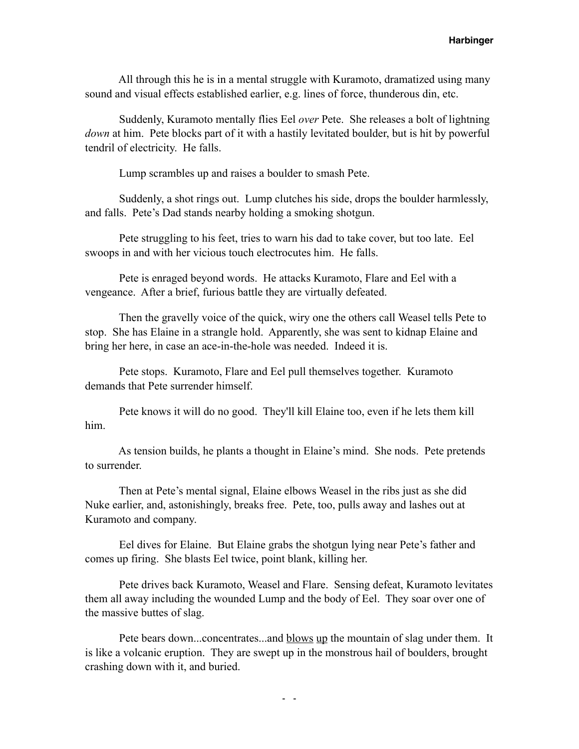All through this he is in a mental struggle with Kuramoto, dramatized using many sound and visual effects established earlier, e.g. lines of force, thunderous din, etc.

 Suddenly, Kuramoto mentally flies Eel *over* Pete. She releases a bolt of lightning *down* at him. Pete blocks part of it with a hastily levitated boulder, but is hit by powerful tendril of electricity. He falls.

Lump scrambles up and raises a boulder to smash Pete.

 Suddenly, a shot rings out. Lump clutches his side, drops the boulder harmlessly, and falls. Pete's Dad stands nearby holding a smoking shotgun.

 Pete struggling to his feet, tries to warn his dad to take cover, but too late. Eel swoops in and with her vicious touch electrocutes him. He falls.

 Pete is enraged beyond words. He attacks Kuramoto, Flare and Eel with a vengeance. After a brief, furious battle they are virtually defeated.

 Then the gravelly voice of the quick, wiry one the others call Weasel tells Pete to stop. She has Elaine in a strangle hold. Apparently, she was sent to kidnap Elaine and bring her here, in case an ace-in-the-hole was needed. Indeed it is.

 Pete stops. Kuramoto, Flare and Eel pull themselves together. Kuramoto demands that Pete surrender himself.

 Pete knows it will do no good. They'll kill Elaine too, even if he lets them kill him.

 As tension builds, he plants a thought in Elaine's mind. She nods. Pete pretends to surrender.

 Then at Pete's mental signal, Elaine elbows Weasel in the ribs just as she did Nuke earlier, and, astonishingly, breaks free. Pete, too, pulls away and lashes out at Kuramoto and company.

 Eel dives for Elaine. But Elaine grabs the shotgun lying near Pete's father and comes up firing. She blasts Eel twice, point blank, killing her.

 Pete drives back Kuramoto, Weasel and Flare. Sensing defeat, Kuramoto levitates them all away including the wounded Lump and the body of Eel. They soar over one of the massive buttes of slag.

 Pete bears down...concentrates...and blows up the mountain of slag under them. It is like a volcanic eruption. They are swept up in the monstrous hail of boulders, brought crashing down with it, and buried.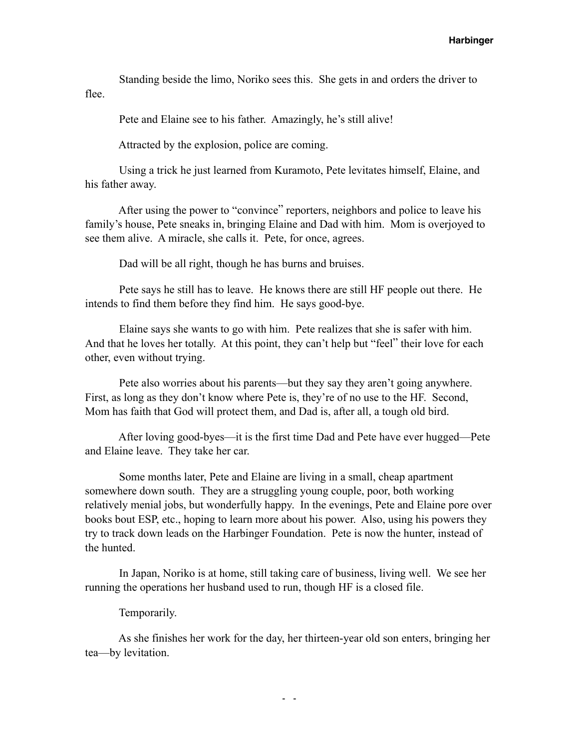Standing beside the limo, Noriko sees this. She gets in and orders the driver to flee.

Pete and Elaine see to his father. Amazingly, he's still alive!

Attracted by the explosion, police are coming.

 Using a trick he just learned from Kuramoto, Pete levitates himself, Elaine, and his father away.

 After using the power to "convince" reporters, neighbors and police to leave his family's house, Pete sneaks in, bringing Elaine and Dad with him. Mom is overjoyed to see them alive. A miracle, she calls it. Pete, for once, agrees.

Dad will be all right, though he has burns and bruises.

 Pete says he still has to leave. He knows there are still HF people out there. He intends to find them before they find him. He says good-bye.

 Elaine says she wants to go with him. Pete realizes that she is safer with him. And that he loves her totally. At this point, they can't help but "feel" their love for each other, even without trying.

 Pete also worries about his parents—but they say they aren't going anywhere. First, as long as they don't know where Pete is, they're of no use to the HF. Second, Mom has faith that God will protect them, and Dad is, after all, a tough old bird.

 After loving good-byes—it is the first time Dad and Pete have ever hugged—Pete and Elaine leave. They take her car.

 Some months later, Pete and Elaine are living in a small, cheap apartment somewhere down south. They are a struggling young couple, poor, both working relatively menial jobs, but wonderfully happy. In the evenings, Pete and Elaine pore over books bout ESP, etc., hoping to learn more about his power. Also, using his powers they try to track down leads on the Harbinger Foundation. Pete is now the hunter, instead of the hunted.

 In Japan, Noriko is at home, still taking care of business, living well. We see her running the operations her husband used to run, though HF is a closed file.

Temporarily.

 As she finishes her work for the day, her thirteen-year old son enters, bringing her tea—by levitation.